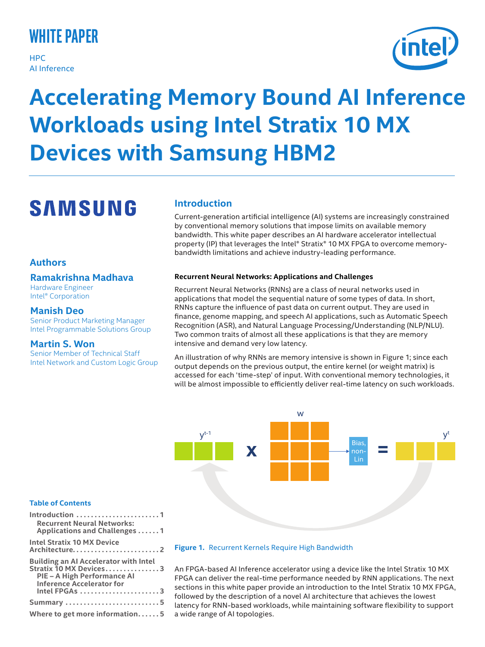## **white paper**

**HPC** AI Inference



# **Accelerating Memory Bound AI Inference Workloads using Intel Stratix 10 MX Devices with Samsung HBM2**

## **SAMSUNG**

## **Authors**

## **Ramakrishna Madhava**

Hardware Engineer Intel® Corporation

## **Manish Deo**

Senior Product Marketing Manager Intel Programmable Solutions Group

## **Martin S. Won**

Senior Member of Technical Staff Intel Network and Custom Logic Group

## **Introduction**

Current-generation artificial intelligence (AI) systems are increasingly constrained by conventional memory solutions that impose limits on available memory bandwidth. This white paper describes an AI hardware accelerator intellectual property (IP) that leverages the Intel® Stratix® 10 MX FPGA to overcome memorybandwidth limitations and achieve industry-leading performance.

### **Recurrent Neural Networks: Applications and Challenges**

Recurrent Neural Networks (RNNs) are a class of neural networks used in applications that model the sequential nature of some types of data. In short, RNNs capture the influence of past data on current output. They are used in finance, genome mapping, and speech AI applications, such as Automatic Speech Recognition (ASR), and Natural Language Processing/Understanding (NLP/NLU). Two common traits of almost all these applications is that they are memory intensive and demand very low latency.

An illustration of why RNNs are memory intensive is shown in Figure 1; since each output depends on the previous output, the entire kernel (or weight matrix) is accessed for each 'time-step' of input. With conventional memory technologies, it will be almost impossible to efficiently deliver real-time latency on such workloads.



## **Figure 1.** Recurrent Kernels Require High Bandwidth

An FPGA-based AI Inference accelerator using a device like the Intel Stratix 10 MX FPGA can deliver the real-time performance needed by RNN applications. The next sections in this white paper provide an introduction to the Intel Stratix 10 MX FPGA, followed by the description of a novel AI architecture that achieves the lowest latency for RNN-based workloads, while maintaining software flexibility to support a wide range of AI topologies.

### **Table of Contents**

| Introduction 1                                                                                                                                             |
|------------------------------------------------------------------------------------------------------------------------------------------------------------|
| <b>Recurrent Neural Networks:</b><br>Applications and Challenges 1                                                                                         |
| <b>Intel Stratix 10 MX Device</b><br>Architecture2                                                                                                         |
| <b>Building an AI Accelerator with Intel</b><br>Stratix 10 MX Devices3<br>PIE - A High Performance AI<br><b>Inference Accelerator for</b><br>Intel FPGAs 3 |
|                                                                                                                                                            |
| Summary 5                                                                                                                                                  |
| Where to get more information5                                                                                                                             |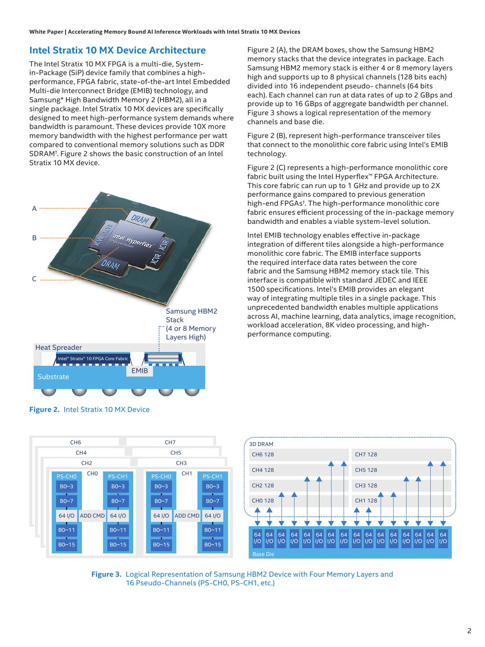## **Intel Stratix 10 MX Device Architecture**

The Intel Stratix 10 MX FPGA is a multi-die, Systemin-Package (SiP) device family that combines a highperformance, FPGA fabric, state-of-the-art Intel Embedded Multi-die Interconnect Bridge (EMIB) technology, and Samsung\* High Bandwidth Memory 2 (HBM2), all in a single package. Intel Stratix 10 MX devices are specifically designed to meet high-performance system demands where bandwidth is paramount. These devices provide 10X more memory bandwidth with the highest performance per watt compared to conventional memory solutions such as DDR SDRAM† . Figure 2 shows the basic construction of an Intel Stratix 10 MX device.



**Figure 2.** Intel Stratix 10 MX Device

ADD CMD

CH0

 $B0~2$ B0~7 64 I/O B0~11 B0~15

PS-CH1

 $B0~2$ B0~7 64 I/O B0~11 B0~15

PS-CH0

Figure 2 (A), the DRAM boxes, show the Samsung HBM2 memory stacks that the device integrates in package. Each Samsung HBM2 memory stack is either 4 or 8 memory layers high and supports up to 8 physical channels (128 bits each) divided into 16 independent pseudo- channels (64 bits each). Each channel can run at data rates of up to 2 GBps and provide up to 16 GBps of aggregate bandwidth per channel. Figure 3 shows a logical representation of the memory channels and base die.

Figure 2 (B), represent high-performance transceiver tiles that connect to the monolithic core fabric using Intel's EMIB technology.

Figure 2 (C) represents a high-performance monolithic core fabric built using the Intel Hyperflex™ FPGA Architecture. This core fabric can run up to 1 GHz and provide up to 2X performance gains compared to previous generation high-end FPGAs† . The high-performance monolithic core fabric ensures efficient processing of the in-package memory bandwidth and enables a viable system-level solution.

Intel EMIB technology enables effective in-package integration of different tiles alongside a high-performance monolithic core fabric. The EMIB interface supports the required interface data rates between the core fabric and the Samsung HBM2 memory stack tile. This interface is compatible with standard JEDEC and IEEE 1500 specifications. Intel's EMIB provides an elegant way of integrating multiple tiles in a single package. This unprecedented bandwidth enables multiple applications across AI, machine learning, data analytics, image recognition, workload acceleration, 8K video processing, and highperformance computing.



**Figure 3.** Logical Representation of Samsung HBM2 Device with Four Memory Layers and 16 Pseudo-Channels (PS-CH0, PS-CH1, etc.)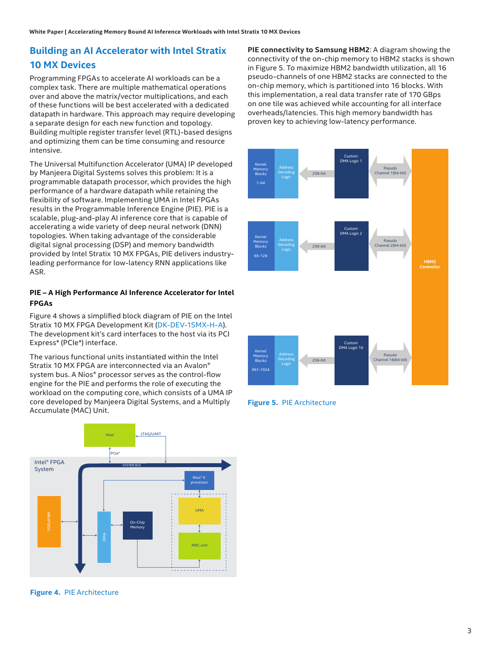## **Building an AI Accelerator with Intel Stratix 10 MX Devices**

Programming FPGAs to accelerate AI workloads can be a complex task. There are multiple mathematical operations over and above the matrix/vector multiplications, and each of these functions will be best accelerated with a dedicated datapath in hardware. This approach may require developing a separate design for each new function and topology. Building multiple register transfer level (RTL)-based designs and optimizing them can be time consuming and resource intensive.

The Universal Multifunction Accelerator (UMA) IP developed by Manjeera Digital Systems solves this problem: It is a programmable datapath processor, which provides the high performance of a hardware datapath while retaining the flexibility of software. Implementing UMA in Intel FPGAs results in the Programmable Inference Engine (PIE). PIE is a scalable, plug-and-play AI inference core that is capable of accelerating a wide variety of deep neural network (DNN) topologies. When taking advantage of the considerable digital signal processing (DSP) and memory bandwidth provided by Intel Stratix 10 MX FPGAs, PIE delivers industryleading performance for low-latency RNN applications like ASR.

## **PIE – A High Performance AI Inference Accelerator for Intel FPGAs**

Figure 4 shows a simplified block diagram of PIE on the Intel Stratix 10 MX FPGA Development Kit ([DK-DEV-1SMX-H-A](https://www.intel.com/content/www/us/en/programmable/products/boards_and_kits/dev-kits/altera/kit-s10-mx.html)). The development kit's card interfaces to the host via its PCI Express\* (PCIe\*) interface.

The various functional units instantiated within the Intel Stratix 10 MX FPGA are interconnected via an Avalon® system bus. A Nios® processor serves as the control-flow engine for the PIE and performs the role of executing the workload on the computing core, which consists of a UMA IP core developed by Manjeera Digital Systems, and a Multiply Accumulate (MAC) Unit.



**Figure 4.** PIE Architecture

**PIE connectivity to Samsung HBM2**: A diagram showing the connectivity of the on-chip memory to HBM2 stacks is shown in Figure 5. To maximize HBM2 bandwidth utilization, all 16 pseudo-channels of one HBM2 stacks are connected to the on-chip memory, which is partitioned into 16 blocks. With this implementation, a real data transfer rate of 170 GBps on one tile was achieved while accounting for all interface overheads/latencies. This high memory bandwidth has proven key to achieving low-latency performance.



**Figure 5.** PIE Architecture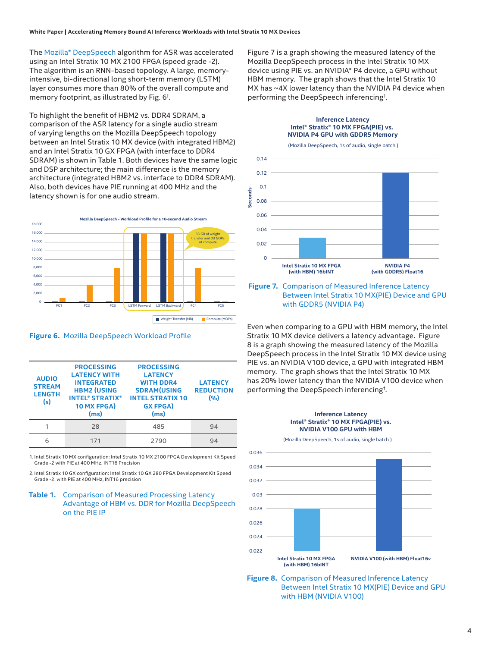The [Mozilla\\* DeepSpeech](https://arxiv.org/pdf/1412.5567.pdf) algorithm for ASR was accelerated using an Intel Stratix 10 MX 2100 FPGA (speed grade -2). The algorithm is an RNN-based topology. A large, memoryintensive, bi-directional long short-term memory (LSTM) layer consumes more than 80% of the overall compute and memory footprint, as illustrated by Fig. 6† .

To highlight the benefit of HBM2 vs. DDR4 SDRAM, a comparison of the ASR latency for a single audio stream of varying lengths on the Mozilla DeepSpeech topology between an Intel Stratix 10 MX device (with integrated HBM2) and an Intel Stratix 10 GX FPGA (with interface to DDR4 SDRAM) is shown in Table 1. Both devices have the same logic and DSP architecture; the main difference is the memory architecture (integrated HBM2 vs. interface to DDR4 SDRAM). Also, both devices have PIE running at 400 MHz and the latency shown is for one audio stream.



**Figure 6.** Mozilla DeepSpeech Workload Profile

| <b>AUDIO</b><br><b>STREAM</b><br><b>LENGTH</b><br>(s) | <b>PROCESSING</b><br><b>LATENCY WITH</b><br><b>INTEGRATED</b><br><b>HBM2 (USING</b><br><b>INTEL® STRATIX®</b><br>10 MX FPGA)<br>(ms) | <b>PROCESSING</b><br><b>LATENCY</b><br><b>WITH DDR4</b><br><b>SDRAM(USING</b><br><b>INTEL STRATIX 10</b><br><b>GX FPGA)</b><br>(ms) | <b>LATENCY</b><br><b>REDUCTION</b><br>(9) |
|-------------------------------------------------------|--------------------------------------------------------------------------------------------------------------------------------------|-------------------------------------------------------------------------------------------------------------------------------------|-------------------------------------------|
|                                                       | 28                                                                                                                                   | 485                                                                                                                                 | 94                                        |
| հ                                                     | 171                                                                                                                                  | 2790                                                                                                                                | 94                                        |

1. Intel Stratix 10 MX configuration: Intel Stratix 10 MX 2100 FPGA Development Kit Speed Grade -2 with PIE at 400 MHz, INT16 Precision

2. Intel Stratix 10 GX configuration: Intel Stratix 10 GX 280 FPGA Development Kit Speed Grade -2, with PIE at 400 MHz, INT16 precision

#### **Table 1.** Comparison of Measured Processing Latency Advantage of HBM vs. DDR for Mozilla DeepSpeech on the PIE IP

Figure 7 is a graph showing the measured latency of the Mozilla DeepSpeech process in the Intel Stratix 10 MX device using PIE vs. an NVIDIA\* P4 device, a GPU without HBM memory. The graph shows that the Intel Stratix 10 MX has ~4X lower latency than the NVIDIA P4 device when performing the DeepSpeech inferencing† .

> **Inference Latency** Intel<sup>®</sup> Stratix<sup>®</sup> 10 MX FPGA(PIE) vs.



#### **Figure 7.** Comparison of Measured Inference Latency Between Intel Stratix 10 MX(PIE) Device and GPU with GDDR5 (NVIDIA P4)

Even when comparing to a GPU with HBM memory, the Intel Stratix 10 MX device delivers a latency advantage. Figure 8 is a graph showing the measured latency of the Mozilla DeepSpeech process in the Intel Stratix 10 MX device using PIE vs. an NVIDIA V100 device, a GPU with integrated HBM memory. The graph shows that the Intel Stratix 10 MX has 20% lower latency than the NVIDIA V100 device when performing the DeepSpeech inferencing† .